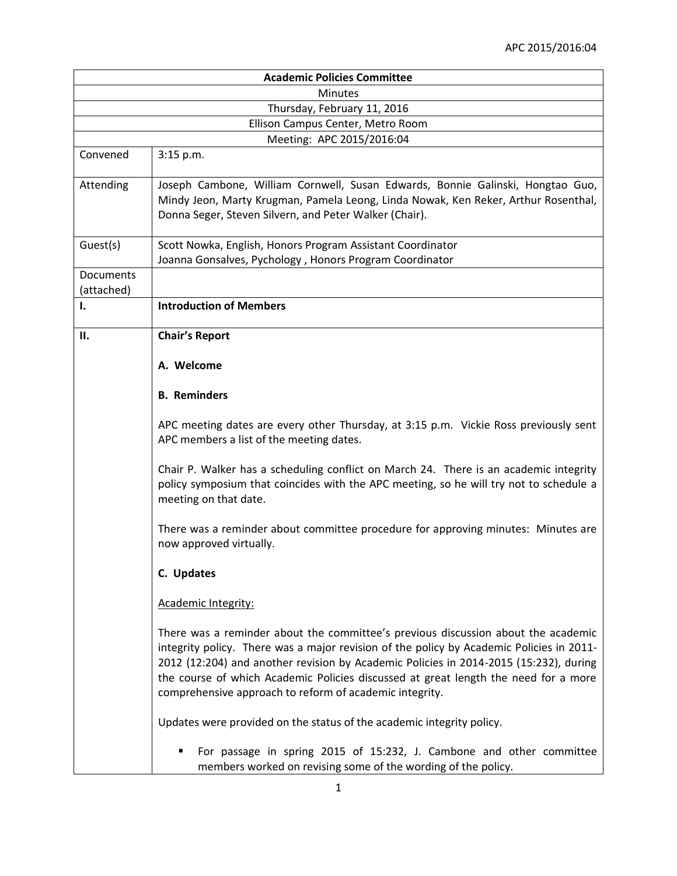| <b>Academic Policies Committee</b> |                                                                                                                                                                                                                                                                                                                                                                                                                          |  |
|------------------------------------|--------------------------------------------------------------------------------------------------------------------------------------------------------------------------------------------------------------------------------------------------------------------------------------------------------------------------------------------------------------------------------------------------------------------------|--|
| Minutes                            |                                                                                                                                                                                                                                                                                                                                                                                                                          |  |
| Thursday, February 11, 2016        |                                                                                                                                                                                                                                                                                                                                                                                                                          |  |
|                                    | Ellison Campus Center, Metro Room                                                                                                                                                                                                                                                                                                                                                                                        |  |
|                                    | Meeting: APC 2015/2016:04                                                                                                                                                                                                                                                                                                                                                                                                |  |
| Convened                           | 3:15 p.m.                                                                                                                                                                                                                                                                                                                                                                                                                |  |
| Attending                          | Joseph Cambone, William Cornwell, Susan Edwards, Bonnie Galinski, Hongtao Guo,<br>Mindy Jeon, Marty Krugman, Pamela Leong, Linda Nowak, Ken Reker, Arthur Rosenthal,<br>Donna Seger, Steven Silvern, and Peter Walker (Chair).                                                                                                                                                                                           |  |
| Guest(s)                           | Scott Nowka, English, Honors Program Assistant Coordinator<br>Joanna Gonsalves, Pychology, Honors Program Coordinator                                                                                                                                                                                                                                                                                                    |  |
| Documents                          |                                                                                                                                                                                                                                                                                                                                                                                                                          |  |
| (attached)<br>Ι.                   | <b>Introduction of Members</b>                                                                                                                                                                                                                                                                                                                                                                                           |  |
| П.                                 | <b>Chair's Report</b>                                                                                                                                                                                                                                                                                                                                                                                                    |  |
|                                    | A. Welcome                                                                                                                                                                                                                                                                                                                                                                                                               |  |
|                                    | <b>B.</b> Reminders                                                                                                                                                                                                                                                                                                                                                                                                      |  |
|                                    | APC meeting dates are every other Thursday, at 3:15 p.m. Vickie Ross previously sent<br>APC members a list of the meeting dates.                                                                                                                                                                                                                                                                                         |  |
|                                    | Chair P. Walker has a scheduling conflict on March 24. There is an academic integrity<br>policy symposium that coincides with the APC meeting, so he will try not to schedule a<br>meeting on that date.                                                                                                                                                                                                                 |  |
|                                    | There was a reminder about committee procedure for approving minutes: Minutes are<br>now approved virtually.                                                                                                                                                                                                                                                                                                             |  |
|                                    | C. Updates                                                                                                                                                                                                                                                                                                                                                                                                               |  |
|                                    | Academic Integrity:                                                                                                                                                                                                                                                                                                                                                                                                      |  |
|                                    | There was a reminder about the committee's previous discussion about the academic<br>integrity policy. There was a major revision of the policy by Academic Policies in 2011-<br>2012 (12:204) and another revision by Academic Policies in 2014-2015 (15:232), during<br>the course of which Academic Policies discussed at great length the need for a more<br>comprehensive approach to reform of academic integrity. |  |
|                                    | Updates were provided on the status of the academic integrity policy.                                                                                                                                                                                                                                                                                                                                                    |  |
|                                    | For passage in spring 2015 of 15:232, J. Cambone and other committee<br>members worked on revising some of the wording of the policy.                                                                                                                                                                                                                                                                                    |  |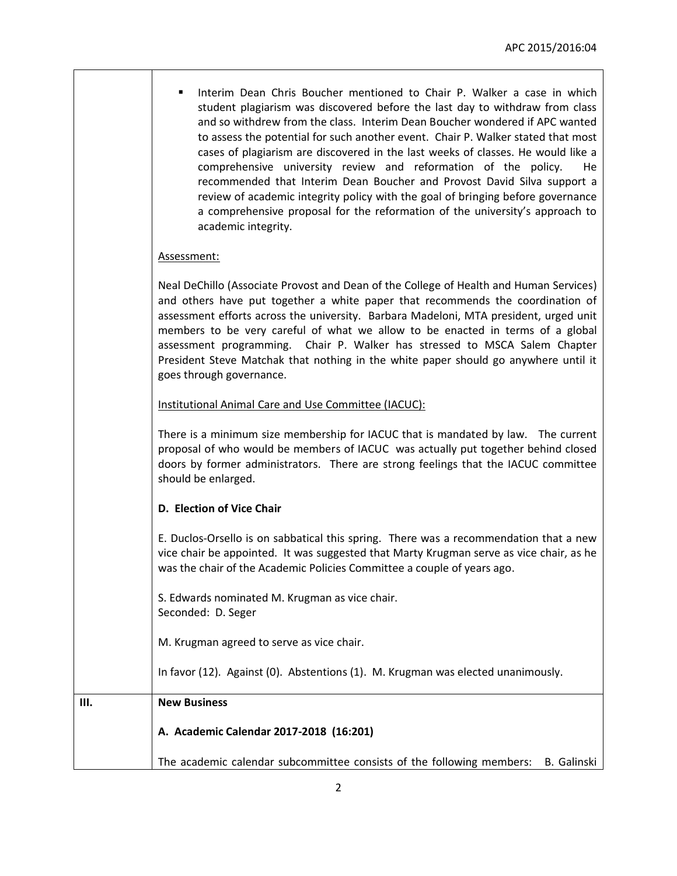|    | Interim Dean Chris Boucher mentioned to Chair P. Walker a case in which<br>student plagiarism was discovered before the last day to withdraw from class<br>and so withdrew from the class. Interim Dean Boucher wondered if APC wanted<br>to assess the potential for such another event. Chair P. Walker stated that most<br>cases of plagiarism are discovered in the last weeks of classes. He would like a<br>comprehensive university review and reformation of the policy.<br>He<br>recommended that Interim Dean Boucher and Provost David Silva support a<br>review of academic integrity policy with the goal of bringing before governance<br>a comprehensive proposal for the reformation of the university's approach to<br>academic integrity. |
|----|-------------------------------------------------------------------------------------------------------------------------------------------------------------------------------------------------------------------------------------------------------------------------------------------------------------------------------------------------------------------------------------------------------------------------------------------------------------------------------------------------------------------------------------------------------------------------------------------------------------------------------------------------------------------------------------------------------------------------------------------------------------|
|    | Assessment:                                                                                                                                                                                                                                                                                                                                                                                                                                                                                                                                                                                                                                                                                                                                                 |
|    | Neal DeChillo (Associate Provost and Dean of the College of Health and Human Services)<br>and others have put together a white paper that recommends the coordination of<br>assessment efforts across the university. Barbara Madeloni, MTA president, urged unit<br>members to be very careful of what we allow to be enacted in terms of a global<br>assessment programming. Chair P. Walker has stressed to MSCA Salem Chapter<br>President Steve Matchak that nothing in the white paper should go anywhere until it<br>goes through governance.                                                                                                                                                                                                        |
|    | Institutional Animal Care and Use Committee (IACUC):                                                                                                                                                                                                                                                                                                                                                                                                                                                                                                                                                                                                                                                                                                        |
|    | There is a minimum size membership for IACUC that is mandated by law. The current<br>proposal of who would be members of IACUC was actually put together behind closed<br>doors by former administrators. There are strong feelings that the IACUC committee<br>should be enlarged.                                                                                                                                                                                                                                                                                                                                                                                                                                                                         |
|    | D. Election of Vice Chair                                                                                                                                                                                                                                                                                                                                                                                                                                                                                                                                                                                                                                                                                                                                   |
|    | E. Duclos-Orsello is on sabbatical this spring. There was a recommendation that a new<br>vice chair be appointed. It was suggested that Marty Krugman serve as vice chair, as he<br>was the chair of the Academic Policies Committee a couple of years ago.                                                                                                                                                                                                                                                                                                                                                                                                                                                                                                 |
|    | S. Edwards nominated M. Krugman as vice chair.<br>Seconded: D. Seger                                                                                                                                                                                                                                                                                                                                                                                                                                                                                                                                                                                                                                                                                        |
|    | M. Krugman agreed to serve as vice chair.                                                                                                                                                                                                                                                                                                                                                                                                                                                                                                                                                                                                                                                                                                                   |
|    | In favor (12). Against (0). Abstentions (1). M. Krugman was elected unanimously.                                                                                                                                                                                                                                                                                                                                                                                                                                                                                                                                                                                                                                                                            |
| Ш. | <b>New Business</b>                                                                                                                                                                                                                                                                                                                                                                                                                                                                                                                                                                                                                                                                                                                                         |
|    | A. Academic Calendar 2017-2018 (16:201)                                                                                                                                                                                                                                                                                                                                                                                                                                                                                                                                                                                                                                                                                                                     |
|    | The academic calendar subcommittee consists of the following members:<br>B. Galinski                                                                                                                                                                                                                                                                                                                                                                                                                                                                                                                                                                                                                                                                        |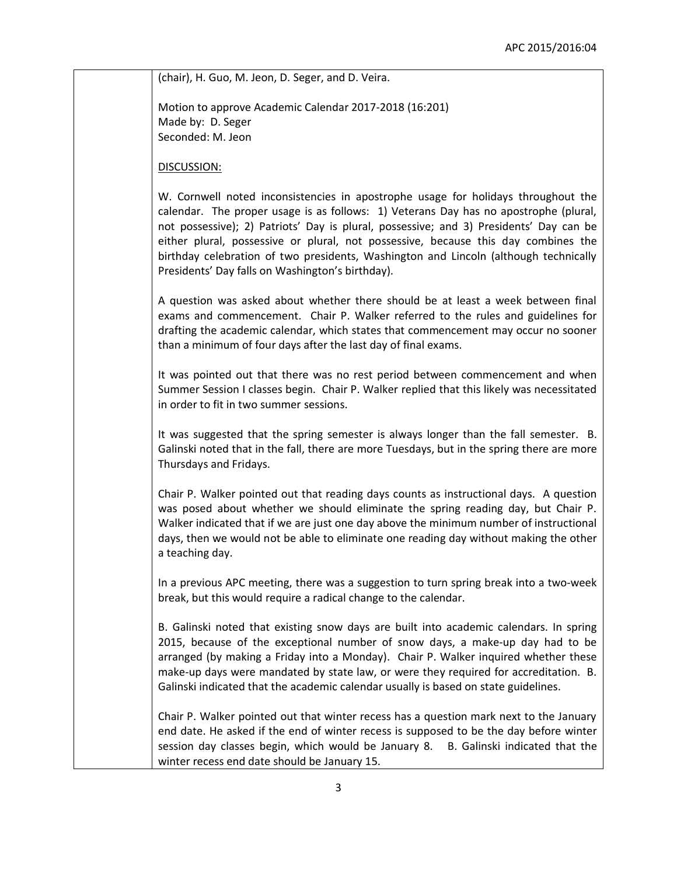(chair), H. Guo, M. Jeon, D. Seger, and D. Veira.

Motion to approve Academic Calendar 2017-2018 (16:201) Made by: D. Seger Seconded: M. Jeon

DISCUSSION:

W. Cornwell noted inconsistencies in apostrophe usage for holidays throughout the calendar. The proper usage is as follows: 1) Veterans Day has no apostrophe (plural, not possessive); 2) Patriots' Day is plural, possessive; and 3) Presidents' Day can be either plural, possessive or plural, not possessive, because this day combines the birthday celebration of two presidents, Washington and Lincoln (although technically Presidents' Day falls on Washington's birthday).

A question was asked about whether there should be at least a week between final exams and commencement. Chair P. Walker referred to the rules and guidelines for drafting the academic calendar, which states that commencement may occur no sooner than a minimum of four days after the last day of final exams.

It was pointed out that there was no rest period between commencement and when Summer Session I classes begin. Chair P. Walker replied that this likely was necessitated in order to fit in two summer sessions.

It was suggested that the spring semester is always longer than the fall semester. B. Galinski noted that in the fall, there are more Tuesdays, but in the spring there are more Thursdays and Fridays.

Chair P. Walker pointed out that reading days counts as instructional days. A question was posed about whether we should eliminate the spring reading day, but Chair P. Walker indicated that if we are just one day above the minimum number of instructional days, then we would not be able to eliminate one reading day without making the other a teaching day.

In a previous APC meeting, there was a suggestion to turn spring break into a two-week break, but this would require a radical change to the calendar.

B. Galinski noted that existing snow days are built into academic calendars. In spring 2015, because of the exceptional number of snow days, a make-up day had to be arranged (by making a Friday into a Monday). Chair P. Walker inquired whether these make-up days were mandated by state law, or were they required for accreditation. B. Galinski indicated that the academic calendar usually is based on state guidelines.

Chair P. Walker pointed out that winter recess has a question mark next to the January end date. He asked if the end of winter recess is supposed to be the day before winter session day classes begin, which would be January 8. B. Galinski indicated that the winter recess end date should be January 15.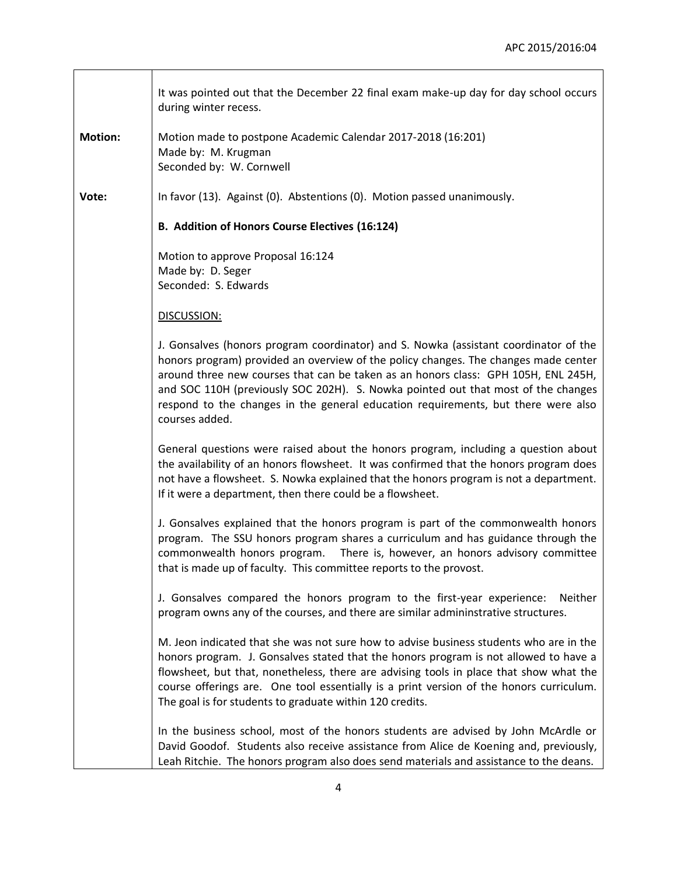J.

|                | It was pointed out that the December 22 final exam make-up day for day school occurs<br>during winter recess.                                                                                                                                                                                                                                                                                                                                                 |
|----------------|---------------------------------------------------------------------------------------------------------------------------------------------------------------------------------------------------------------------------------------------------------------------------------------------------------------------------------------------------------------------------------------------------------------------------------------------------------------|
| <b>Motion:</b> | Motion made to postpone Academic Calendar 2017-2018 (16:201)<br>Made by: M. Krugman<br>Seconded by: W. Cornwell                                                                                                                                                                                                                                                                                                                                               |
| Vote:          | In favor (13). Against (0). Abstentions (0). Motion passed unanimously.                                                                                                                                                                                                                                                                                                                                                                                       |
|                | B. Addition of Honors Course Electives (16:124)                                                                                                                                                                                                                                                                                                                                                                                                               |
|                | Motion to approve Proposal 16:124<br>Made by: D. Seger<br>Seconded: S. Edwards                                                                                                                                                                                                                                                                                                                                                                                |
|                | DISCUSSION:                                                                                                                                                                                                                                                                                                                                                                                                                                                   |
|                | J. Gonsalves (honors program coordinator) and S. Nowka (assistant coordinator of the<br>honors program) provided an overview of the policy changes. The changes made center<br>around three new courses that can be taken as an honors class: GPH 105H, ENL 245H,<br>and SOC 110H (previously SOC 202H). S. Nowka pointed out that most of the changes<br>respond to the changes in the general education requirements, but there were also<br>courses added. |
|                | General questions were raised about the honors program, including a question about<br>the availability of an honors flowsheet. It was confirmed that the honors program does<br>not have a flowsheet. S. Nowka explained that the honors program is not a department.<br>If it were a department, then there could be a flowsheet.                                                                                                                            |
|                | J. Gonsalves explained that the honors program is part of the commonwealth honors<br>program. The SSU honors program shares a curriculum and has guidance through the<br>commonwealth honors program.<br>There is, however, an honors advisory committee<br>that is made up of faculty. This committee reports to the provost.                                                                                                                                |
|                | J. Gonsalves compared the honors program to the first-year experience:<br>Neither<br>program owns any of the courses, and there are similar admininstrative structures.                                                                                                                                                                                                                                                                                       |
|                | M. Jeon indicated that she was not sure how to advise business students who are in the<br>honors program. J. Gonsalves stated that the honors program is not allowed to have a<br>flowsheet, but that, nonetheless, there are advising tools in place that show what the<br>course offerings are. One tool essentially is a print version of the honors curriculum.<br>The goal is for students to graduate within 120 credits.                               |
|                | In the business school, most of the honors students are advised by John McArdle or<br>David Goodof. Students also receive assistance from Alice de Koening and, previously,<br>Leah Ritchie. The honors program also does send materials and assistance to the deans.                                                                                                                                                                                         |

 $\mathbf{r}$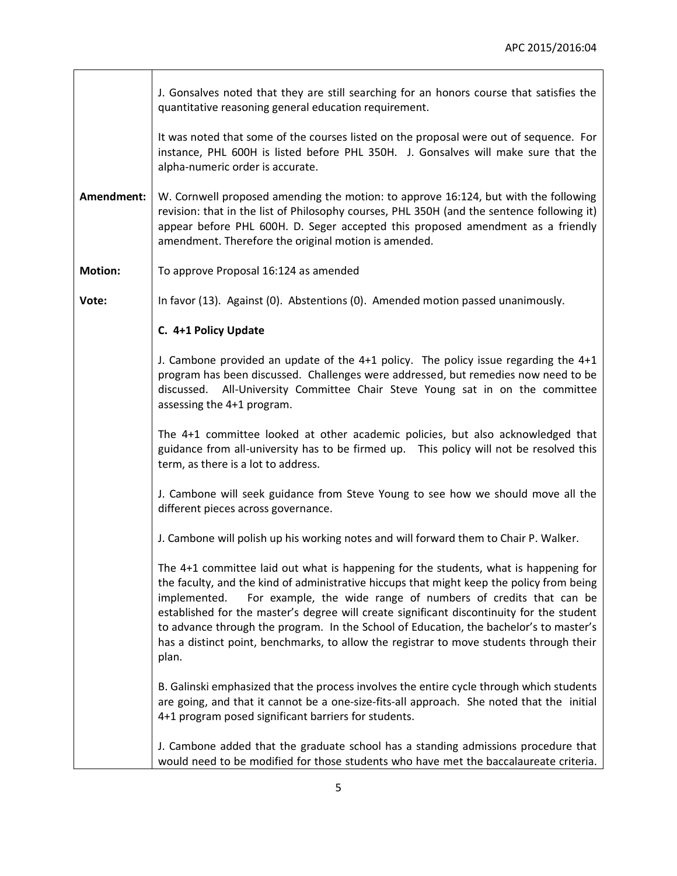<u> 1989 - Johann Barn, mars eta bainar e</u>

|                | J. Gonsalves noted that they are still searching for an honors course that satisfies the<br>quantitative reasoning general education requirement.                                                                                                                                                                                                                                                                                                                                                                                                             |
|----------------|---------------------------------------------------------------------------------------------------------------------------------------------------------------------------------------------------------------------------------------------------------------------------------------------------------------------------------------------------------------------------------------------------------------------------------------------------------------------------------------------------------------------------------------------------------------|
|                | It was noted that some of the courses listed on the proposal were out of sequence. For<br>instance, PHL 600H is listed before PHL 350H. J. Gonsalves will make sure that the<br>alpha-numeric order is accurate.                                                                                                                                                                                                                                                                                                                                              |
| Amendment:     | W. Cornwell proposed amending the motion: to approve 16:124, but with the following<br>revision: that in the list of Philosophy courses, PHL 350H (and the sentence following it)<br>appear before PHL 600H. D. Seger accepted this proposed amendment as a friendly<br>amendment. Therefore the original motion is amended.                                                                                                                                                                                                                                  |
| <b>Motion:</b> | To approve Proposal 16:124 as amended                                                                                                                                                                                                                                                                                                                                                                                                                                                                                                                         |
| Vote:          | In favor (13). Against (0). Abstentions (0). Amended motion passed unanimously.                                                                                                                                                                                                                                                                                                                                                                                                                                                                               |
|                | C. 4+1 Policy Update                                                                                                                                                                                                                                                                                                                                                                                                                                                                                                                                          |
|                | J. Cambone provided an update of the $4+1$ policy. The policy issue regarding the $4+1$<br>program has been discussed. Challenges were addressed, but remedies now need to be<br>discussed. All-University Committee Chair Steve Young sat in on the committee<br>assessing the 4+1 program.                                                                                                                                                                                                                                                                  |
|                | The 4+1 committee looked at other academic policies, but also acknowledged that<br>guidance from all-university has to be firmed up. This policy will not be resolved this<br>term, as there is a lot to address.                                                                                                                                                                                                                                                                                                                                             |
|                | J. Cambone will seek guidance from Steve Young to see how we should move all the<br>different pieces across governance.                                                                                                                                                                                                                                                                                                                                                                                                                                       |
|                | J. Cambone will polish up his working notes and will forward them to Chair P. Walker.                                                                                                                                                                                                                                                                                                                                                                                                                                                                         |
|                | The 4+1 committee laid out what is happening for the students, what is happening for<br>the faculty, and the kind of administrative hiccups that might keep the policy from being<br>For example, the wide range of numbers of credits that can be<br>implemented.<br>established for the master's degree will create significant discontinuity for the student<br>to advance through the program. In the School of Education, the bachelor's to master's<br>has a distinct point, benchmarks, to allow the registrar to move students through their<br>plan. |
|                | B. Galinski emphasized that the process involves the entire cycle through which students<br>are going, and that it cannot be a one-size-fits-all approach. She noted that the initial<br>4+1 program posed significant barriers for students.                                                                                                                                                                                                                                                                                                                 |
|                | J. Cambone added that the graduate school has a standing admissions procedure that<br>would need to be modified for those students who have met the baccalaureate criteria.                                                                                                                                                                                                                                                                                                                                                                                   |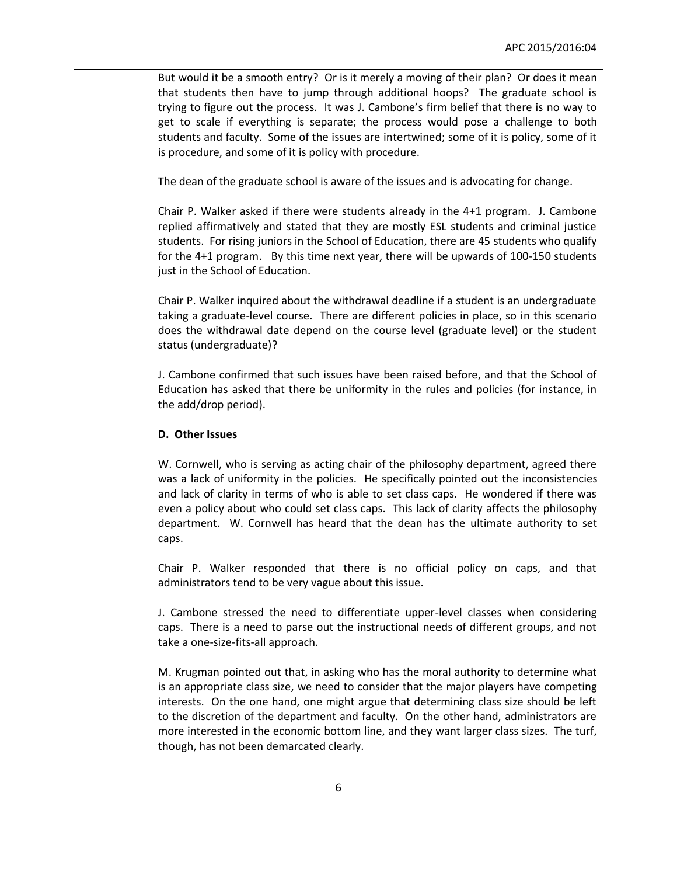But would it be a smooth entry? Or is it merely a moving of their plan? Or does it mean that students then have to jump through additional hoops? The graduate school is trying to figure out the process. It was J. Cambone's firm belief that there is no way to get to scale if everything is separate; the process would pose a challenge to both students and faculty. Some of the issues are intertwined; some of it is policy, some of it is procedure, and some of it is policy with procedure.

The dean of the graduate school is aware of the issues and is advocating for change.

Chair P. Walker asked if there were students already in the 4+1 program. J. Cambone replied affirmatively and stated that they are mostly ESL students and criminal justice students. For rising juniors in the School of Education, there are 45 students who qualify for the 4+1 program. By this time next year, there will be upwards of 100-150 students just in the School of Education.

Chair P. Walker inquired about the withdrawal deadline if a student is an undergraduate taking a graduate-level course. There are different policies in place, so in this scenario does the withdrawal date depend on the course level (graduate level) or the student status (undergraduate)?

J. Cambone confirmed that such issues have been raised before, and that the School of Education has asked that there be uniformity in the rules and policies (for instance, in the add/drop period).

## **D. Other Issues**

W. Cornwell, who is serving as acting chair of the philosophy department, agreed there was a lack of uniformity in the policies. He specifically pointed out the inconsistencies and lack of clarity in terms of who is able to set class caps. He wondered if there was even a policy about who could set class caps. This lack of clarity affects the philosophy department. W. Cornwell has heard that the dean has the ultimate authority to set caps.

Chair P. Walker responded that there is no official policy on caps, and that administrators tend to be very vague about this issue.

J. Cambone stressed the need to differentiate upper-level classes when considering caps. There is a need to parse out the instructional needs of different groups, and not take a one-size-fits-all approach.

M. Krugman pointed out that, in asking who has the moral authority to determine what is an appropriate class size, we need to consider that the major players have competing interests. On the one hand, one might argue that determining class size should be left to the discretion of the department and faculty. On the other hand, administrators are more interested in the economic bottom line, and they want larger class sizes. The turf, though, has not been demarcated clearly.